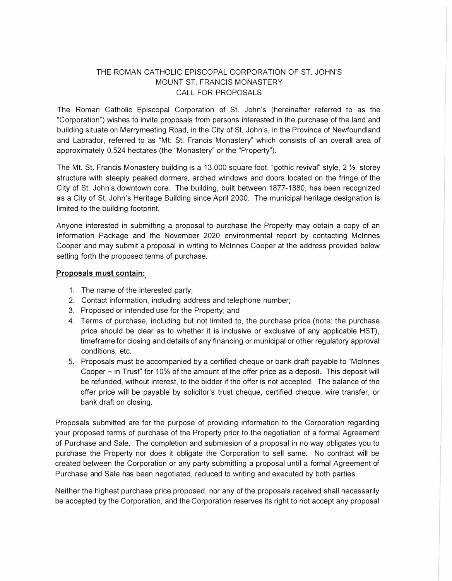## THE ROMAN CATHOLIC EPISCOPAL CORPORATION OF ST. JOHN'S MOUNT ST. FRANCIS MONASTERY CALL FOR PROPOSALS

The Roman Catholic Episcopal Corporation of St. John's (hereinafter referred to as the "Corporation") wishes to invite proposals from persons interested in the purchase of the land and building situate on Merrymeeting Road, in the City of St. John's, in the Province of Newfoundland and Labrador, referred to as "Mt. St. Francis Monastery" which consists of an overall area of approximately 0.524 hectares (the "Monastery" or the "Property").

The Mt. St. Francis Monastery building is a 13,000 square foot, "gothic revival" style, 2  $\frac{1}{2}$  storey structure with steeply peaked dormers. arched windows and doors located on the fringe of the City of St. John's downtown core. The building, built between 1877-1880, has been recognized as a City of St. John's Heritage Building since April 2000. The municipal heritage designation is limited to the building footprint.

Anyone interested in submitting a proposal to purchase the Property may obtain a copy of an Information Package and the November 2020 environmental report by contacting Mcinnes Cooper and may submit a proposal in writing to Mcinnes Cooper at the address provided below setting forth the proposed terms of purchase.

## **Proposals must contain:**

- 1. The name of the interested party;
- 2. Contact information, including address and telephone number;
- 3. Proposed or intended use for the Property; and
- 4. Terms of purchase, including but not limited to, the purchase price (note: the purchase price should be clear as to whether it is inclusive or exclusive of any applicable HST), timeframe for closing and details of any financing or municipal or other regulatory approval conditions, etc.
- 5. Proposals must be accompanied by a certified cheque or bank draft payable to "Mcinnes Cooper - in Trust" for 10% of the amount of the offer price as a deposit. This deposit will be refunded, without interest, to the bidder if the offer is not accepted. The balance of the offer price will be payable by solicitor's trust cheque, certified cheque, wire transfer, or bank draft on closing.

Proposals submitted are for the purpose of providing information to the Corporation regarding your proposed terms of purchase of the Property prior to the negotiation of a formal Agreement of Purchase and Sale. The completion and submission of a proposal in no way obligates you to purchase the Property nor does it obligate the Corporation to sell same. No contract will be created between the Corporation or any party submitting a proposal until a formal Agreement of Purchase and Sale has been negotiated, reduced to writing and executed by both parties.

Neither the highest purchase price proposed, nor any of the proposals received shall necessarily be accepted by the Corporation, and the Corporation reserves its right to not accept any proposal